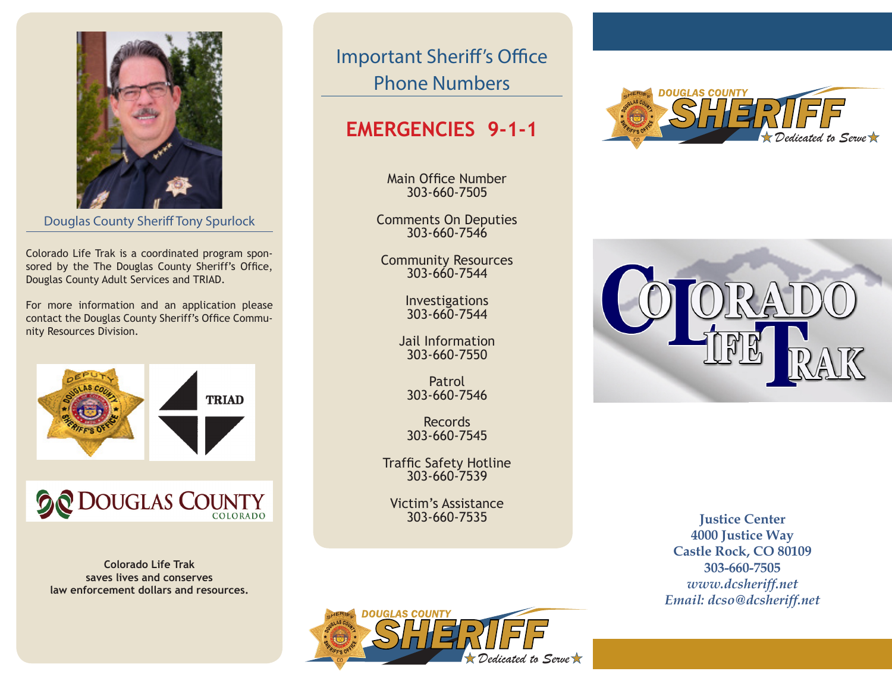

**Pouglas County Sheriff Tony Spurlock** 

Colorado Life Trak is a coordinated program sponsored by the The Douglas County Sheriff's Office, *Confidential.* **All those involved agree to confi-**Douglas County Adult Services and TRIAD.

For more information and an application please contact the Douglas County Sheriff's Office Commu-*Engaged and Genuine Conversations.* **You're giv**nity Resources Division.



## **a a** Dou *More Satisfying.* **Mediation continues to prove**

**V***oluntary <b>Saves lives and conserves Mediations and Facilities* $\mathbb{R}^n$ law enforcement dollars and resources. **Colorado Life Trak** 

Important Sheriff's Office Phone Numbers

## **EMERGENCIES 9-1-1**

Main Office Number 303-660-7505

Comments On Deputies 303-660-7546

Community Resources 303-660-7544

> Investigations 303-660-7544

Jail Information 303-660-7550

Patrol 303-660-7546

Records 303-660-7545

Traffic Safety Hotline 303-660-7539

Victim's Assistance 303-660-7535





**Justice Center 4000 Justice Way Castle Rock, CO 80109 303-660-7505** *www.dcsheriff.net Email: dcso@dcsheriff.net*